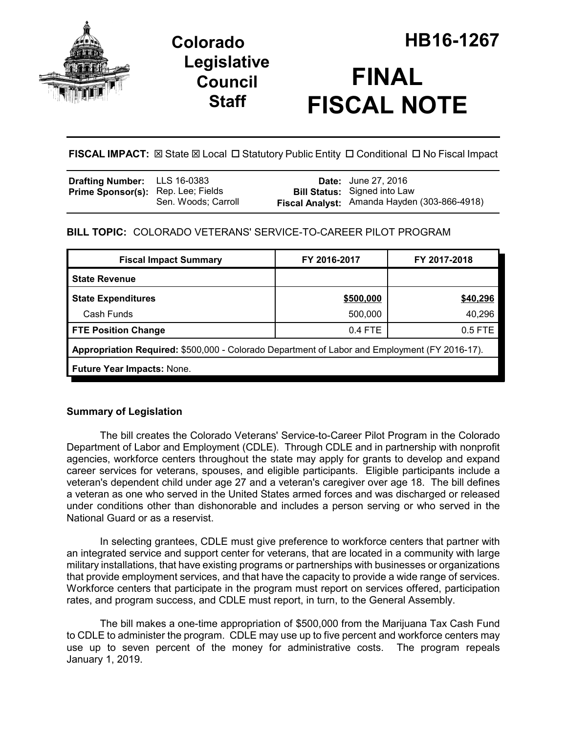

# **Legislative Council Staff**



**FISCAL IMPACT:** ⊠ State ⊠ Local □ Statutory Public Entity □ Conditional □ No Fiscal Impact

| <b>Drafting Number:</b> LLS 16-0383       |                     | <b>Date:</b> June 27, 2016                   |
|-------------------------------------------|---------------------|----------------------------------------------|
| <b>Prime Sponsor(s):</b> Rep. Lee; Fields |                     | <b>Bill Status:</b> Signed into Law          |
|                                           | Sen. Woods; Carroll | Fiscal Analyst: Amanda Hayden (303-866-4918) |

# **BILL TOPIC:** COLORADO VETERANS' SERVICE-TO-CAREER PILOT PROGRAM

| <b>Fiscal Impact Summary</b>                                                                  | FY 2016-2017 | FY 2017-2018 |  |  |  |  |
|-----------------------------------------------------------------------------------------------|--------------|--------------|--|--|--|--|
| <b>State Revenue</b>                                                                          |              |              |  |  |  |  |
| <b>State Expenditures</b>                                                                     | \$500,000    | \$40,296     |  |  |  |  |
| Cash Funds                                                                                    | 500,000      | 40,296       |  |  |  |  |
| <b>FTE Position Change</b>                                                                    | $0.4$ FTE    | 0.5 FTE      |  |  |  |  |
| Appropriation Required: \$500,000 - Colorado Department of Labor and Employment (FY 2016-17). |              |              |  |  |  |  |
| Future Year Impacts: None.                                                                    |              |              |  |  |  |  |

# **Summary of Legislation**

The bill creates the Colorado Veterans' Service-to-Career Pilot Program in the Colorado Department of Labor and Employment (CDLE). Through CDLE and in partnership with nonprofit agencies, workforce centers throughout the state may apply for grants to develop and expand career services for veterans, spouses, and eligible participants. Eligible participants include a veteran's dependent child under age 27 and a veteran's caregiver over age 18. The bill defines a veteran as one who served in the United States armed forces and was discharged or released under conditions other than dishonorable and includes a person serving or who served in the National Guard or as a reservist.

In selecting grantees, CDLE must give preference to workforce centers that partner with an integrated service and support center for veterans, that are located in a community with large military installations, that have existing programs or partnerships with businesses or organizations that provide employment services, and that have the capacity to provide a wide range of services. Workforce centers that participate in the program must report on services offered, participation rates, and program success, and CDLE must report, in turn, to the General Assembly.

The bill makes a one-time appropriation of \$500,000 from the Marijuana Tax Cash Fund to CDLE to administer the program. CDLE may use up to five percent and workforce centers may use up to seven percent of the money for administrative costs. The program repeals January 1, 2019.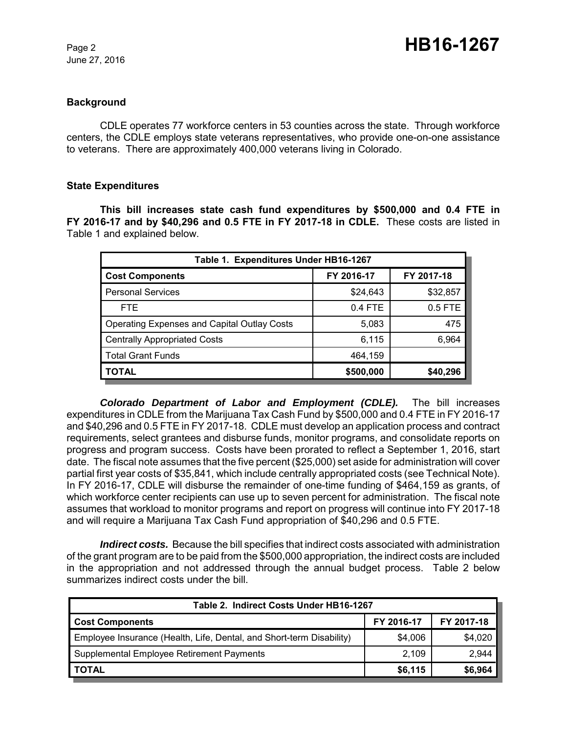June 27, 2016

# **Background**

CDLE operates 77 workforce centers in 53 counties across the state. Through workforce centers, the CDLE employs state veterans representatives, who provide one-on-one assistance to veterans. There are approximately 400,000 veterans living in Colorado.

# **State Expenditures**

**This bill increases state cash fund expenditures by \$500,000 and 0.4 FTE in FY 2016-17 and by \$40,296 and 0.5 FTE in FY 2017-18 in CDLE.** These costs are listed in Table 1 and explained below.

| Table 1. Expenditures Under HB16-1267              |            |            |  |  |  |  |
|----------------------------------------------------|------------|------------|--|--|--|--|
| <b>Cost Components</b>                             | FY 2016-17 | FY 2017-18 |  |  |  |  |
| <b>Personal Services</b>                           | \$24,643   | \$32,857   |  |  |  |  |
| <b>FTE</b>                                         | $0.4$ FTE  | $0.5$ FTE  |  |  |  |  |
| <b>Operating Expenses and Capital Outlay Costs</b> | 5,083      | 475        |  |  |  |  |
| <b>Centrally Appropriated Costs</b>                | 6,115      | 6,964      |  |  |  |  |
| <b>Total Grant Funds</b>                           | 464,159    |            |  |  |  |  |
| <b>TOTAL</b>                                       | \$500,000  | \$40,296   |  |  |  |  |

*Colorado Department of Labor and Employment (CDLE).* The bill increases expenditures in CDLE from the Marijuana Tax Cash Fund by \$500,000 and 0.4 FTE in FY 2016-17 and \$40,296 and 0.5 FTE in FY 2017-18. CDLE must develop an application process and contract requirements, select grantees and disburse funds, monitor programs, and consolidate reports on progress and program success. Costs have been prorated to reflect a September 1, 2016, start date. The fiscal note assumes that the five percent (\$25,000) set aside for administration will cover partial first year costs of \$35,841, which include centrally appropriated costs (see Technical Note). In FY 2016-17, CDLE will disburse the remainder of one-time funding of \$464,159 as grants, of which workforce center recipients can use up to seven percent for administration. The fiscal note assumes that workload to monitor programs and report on progress will continue into FY 2017-18 and will require a Marijuana Tax Cash Fund appropriation of \$40,296 and 0.5 FTE.

*Indirect costs.* Because the bill specifies that indirect costs associated with administration of the grant program are to be paid from the \$500,000 appropriation, the indirect costs are included in the appropriation and not addressed through the annual budget process. Table 2 below summarizes indirect costs under the bill.

| Table 2. Indirect Costs Under HB16-1267                              |            |            |  |  |  |  |
|----------------------------------------------------------------------|------------|------------|--|--|--|--|
| <b>Cost Components</b>                                               | FY 2016-17 | FY 2017-18 |  |  |  |  |
| Employee Insurance (Health, Life, Dental, and Short-term Disability) | \$4,006    | \$4,020    |  |  |  |  |
| Supplemental Employee Retirement Payments                            | 2,109      | 2,944      |  |  |  |  |
| <b>TOTAL</b>                                                         | \$6,115    | \$6,964    |  |  |  |  |